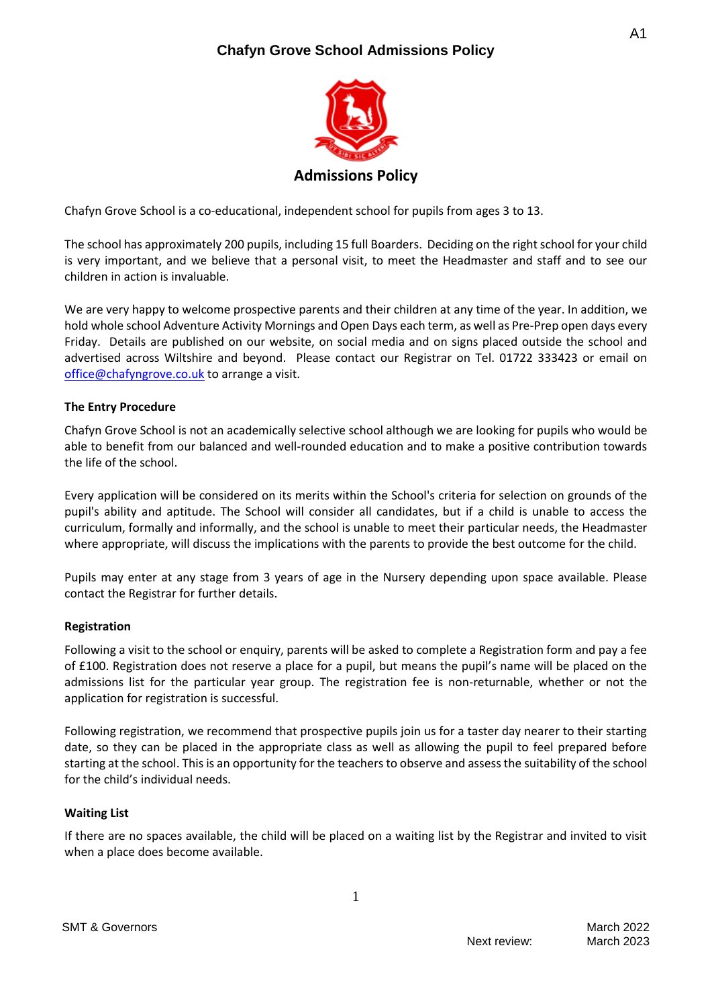# **Chafyn Grove School Admissions Policy**



Chafyn Grove School is a co-educational, independent school for pupils from ages 3 to 13.

The school has approximately 200 pupils, including 15 full Boarders. Deciding on the right school for your child is very important, and we believe that a personal visit, to meet the Headmaster and staff and to see our children in action is invaluable.

We are very happy to welcome prospective parents and their children at any time of the year. In addition, we hold whole school Adventure Activity Mornings and Open Days each term, as well as Pre-Prep open days every Friday. Details are published on our website, on social media and on signs placed outside the school and advertised across Wiltshire and beyond. Please contact our Registrar on Tel. 01722 333423 or email on [office@chafyngrove.co.uk](mailto:office@chafyngrove.co.uk) to arrange a visit.

## **The Entry Procedure**

Chafyn Grove School is not an academically selective school although we are looking for pupils who would be able to benefit from our balanced and well-rounded education and to make a positive contribution towards the life of the school.

Every application will be considered on its merits within the School's criteria for selection on grounds of the pupil's ability and aptitude. The School will consider all candidates, but if a child is unable to access the curriculum, formally and informally, and the school is unable to meet their particular needs, the Headmaster where appropriate, will discuss the implications with the parents to provide the best outcome for the child.

Pupils may enter at any stage from 3 years of age in the Nursery depending upon space available. Please contact the Registrar for further details.

### **Registration**

Following a visit to the school or enquiry, parents will be asked to complete a Registration form and pay a fee of £100. Registration does not reserve a place for a pupil, but means the pupil's name will be placed on the admissions list for the particular year group. The registration fee is non-returnable, whether or not the application for registration is successful.

Following registration, we recommend that prospective pupils join us for a taster day nearer to their starting date, so they can be placed in the appropriate class as well as allowing the pupil to feel prepared before starting at the school. This is an opportunity for the teachers to observe and assess the suitability of the school for the child's individual needs.

### **Waiting List**

If there are no spaces available, the child will be placed on a waiting list by the Registrar and invited to visit when a place does become available.

1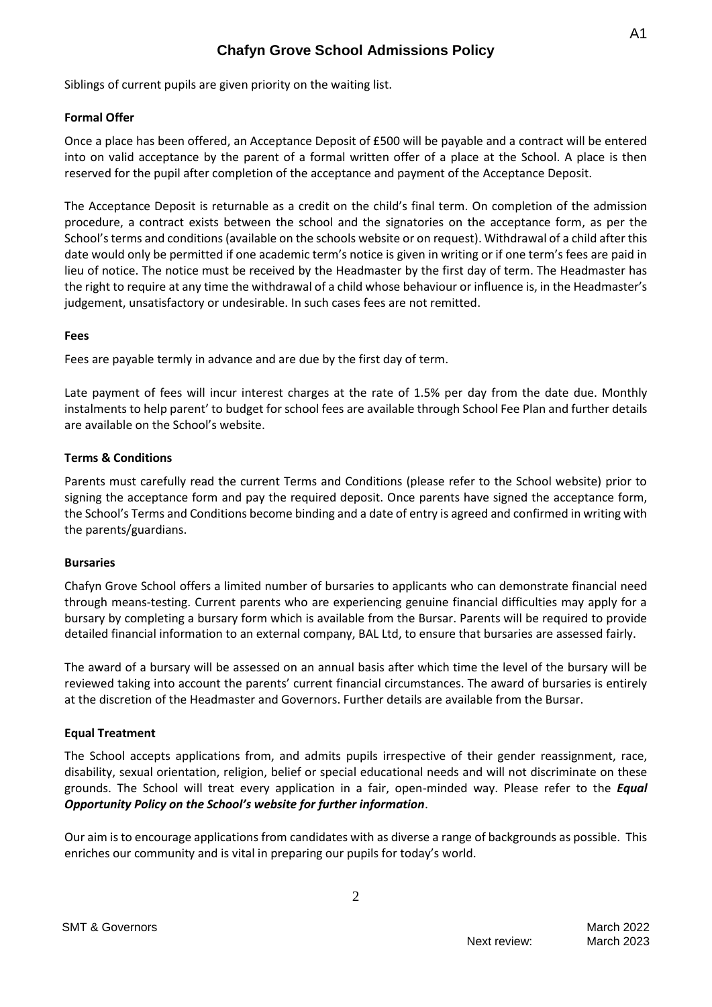# **Chafyn Grove School Admissions Policy**

Siblings of current pupils are given priority on the waiting list.

# **Formal Offer**

Once a place has been offered, an Acceptance Deposit of £500 will be payable and a contract will be entered into on valid acceptance by the parent of a formal written offer of a place at the School. A place is then reserved for the pupil after completion of the acceptance and payment of the Acceptance Deposit.

The Acceptance Deposit is returnable as a credit on the child's final term. On completion of the admission procedure, a contract exists between the school and the signatories on the acceptance form, as per the School's terms and conditions (available on the schools website or on request). Withdrawal of a child after this date would only be permitted if one academic term's notice is given in writing or if one term's fees are paid in lieu of notice. The notice must be received by the Headmaster by the first day of term. The Headmaster has the right to require at any time the withdrawal of a child whose behaviour or influence is, in the Headmaster's judgement, unsatisfactory or undesirable. In such cases fees are not remitted.

## **Fees**

Fees are payable termly in advance and are due by the first day of term.

Late payment of fees will incur interest charges at the rate of 1.5% per day from the date due. Monthly instalments to help parent' to budget for school fees are available through School Fee Plan and further details are available on the School's website.

# **Terms & Conditions**

Parents must carefully read the current Terms and Conditions (please refer to the School website) prior to signing the acceptance form and pay the required deposit. Once parents have signed the acceptance form, the School's Terms and Conditions become binding and a date of entry is agreed and confirmed in writing with the parents/guardians.

# **Bursaries**

Chafyn Grove School offers a limited number of bursaries to applicants who can demonstrate financial need through means-testing. Current parents who are experiencing genuine financial difficulties may apply for a bursary by completing a bursary form which is available from the Bursar. Parents will be required to provide detailed financial information to an external company, BAL Ltd, to ensure that bursaries are assessed fairly.

The award of a bursary will be assessed on an annual basis after which time the level of the bursary will be reviewed taking into account the parents' current financial circumstances. The award of bursaries is entirely at the discretion of the Headmaster and Governors. Further details are available from the Bursar.

# **Equal Treatment**

The School accepts applications from, and admits pupils irrespective of their gender reassignment, race, disability, sexual orientation, religion, belief or special educational needs and will not discriminate on these grounds. The School will treat every application in a fair, open-minded way. Please refer to the *Equal Opportunity Policy on the School's website for further information*.

Our aim is to encourage applications from candidates with as diverse a range of backgrounds as possible. This enriches our community and is vital in preparing our pupils for today's world.

2